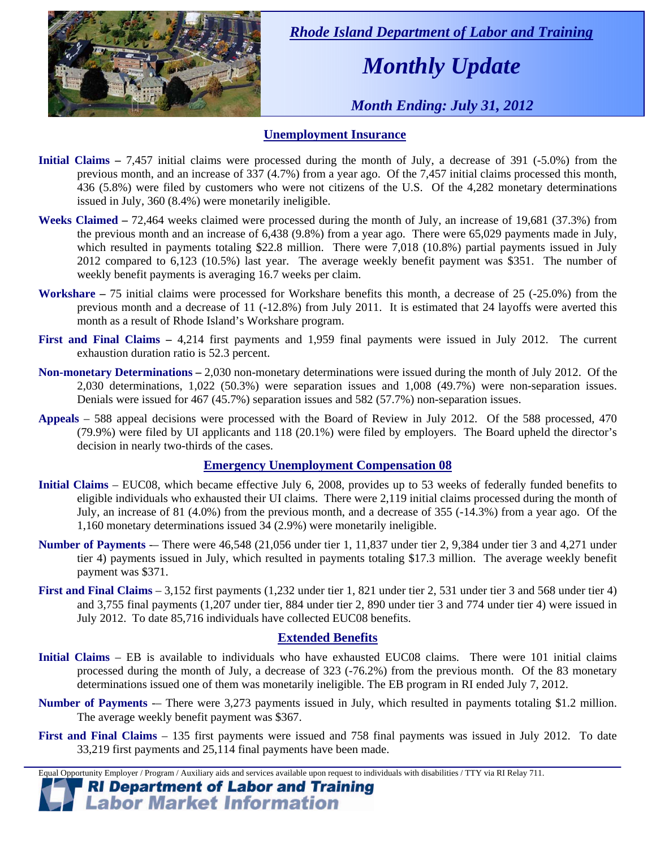

 *Rhode Island Department of Labor and Training* 

## *Monthly Update*

 *Month Ending: July 31, 2012* 

### **Unemployment Insurance**

- **Initial Claims** 7,457 initial claims were processed during the month of July, a decrease of 391 (-5.0%) from the previous month, and an increase of 337 (4.7%) from a year ago. Of the 7,457 initial claims processed this month, 436 (5.8%) were filed by customers who were not citizens of the U.S. Of the 4,282 monetary determinations issued in July, 360 (8.4%) were monetarily ineligible.
- **Weeks Claimed** 72,464 weeks claimed were processed during the month of July, an increase of 19,681 (37.3%) from the previous month and an increase of 6,438 (9.8%) from a year ago. There were 65,029 payments made in July, which resulted in payments totaling \$22.8 million. There were 7,018 (10.8%) partial payments issued in July 2012 compared to 6,123 (10.5%) last year. The average weekly benefit payment was \$351. The number of weekly benefit payments is averaging 16.7 weeks per claim.
- **Workshare –** 75 initial claims were processed for Workshare benefits this month, a decrease of 25 (-25.0%) from the previous month and a decrease of 11 (-12.8%) from July 2011. It is estimated that 24 layoffs were averted this month as a result of Rhode Island's Workshare program.
- **First and Final Claims –** 4,214 first payments and 1,959 final payments were issued in July 2012. The current exhaustion duration ratio is 52.3 percent.
- **Non-monetary Determinations –** 2,030 non-monetary determinations were issued during the month of July 2012. Of the 2,030 determinations, 1,022 (50.3%) were separation issues and 1,008 (49.7%) were non-separation issues. Denials were issued for 467 (45.7%) separation issues and 582 (57.7%) non-separation issues.
- **Appeals** 588 appeal decisions were processed with the Board of Review in July 2012. Of the 588 processed, 470 (79.9%) were filed by UI applicants and 118 (20.1%) were filed by employers. The Board upheld the director's decision in nearly two-thirds of the cases.

### **Emergency Unemployment Compensation 08**

- **Initial Claims**  EUC08, which became effective July 6, 2008, provides up to 53 weeks of federally funded benefits to eligible individuals who exhausted their UI claims. There were 2,119 initial claims processed during the month of July, an increase of 81 (4.0%) from the previous month, and a decrease of 355 (-14.3%) from a year ago. Of the 1,160 monetary determinations issued 34 (2.9%) were monetarily ineligible.
- **Number of Payments** -– There were 46,548 (21,056 under tier 1, 11,837 under tier 2, 9,384 under tier 3 and 4,271 under tier 4) payments issued in July, which resulted in payments totaling \$17.3 million. The average weekly benefit payment was \$371.
- **First and Final Claims**  3,152 first payments (1,232 under tier 1, 821 under tier 2, 531 under tier 3 and 568 under tier 4) and 3,755 final payments (1,207 under tier, 884 under tier 2, 890 under tier 3 and 774 under tier 4) were issued in July 2012. To date 85,716 individuals have collected EUC08 benefits.

### **Extended Benefits**

- **Initial Claims**  EB is available to individuals who have exhausted EUC08 claims. There were 101 initial claims processed during the month of July, a decrease of 323 (-76.2%) from the previous month. Of the 83 monetary determinations issued one of them was monetarily ineligible. The EB program in RI ended July 7, 2012.
- **Number of Payments** There were 3,273 payments issued in July, which resulted in payments totaling \$1.2 million. The average weekly benefit payment was \$367.
- **First and Final Claims**  135 first payments were issued and 758 final payments was issued in July 2012. To date 33,219 first payments and 25,114 final payments have been made.

Equal Opportunity Employer / Program / Auxiliary aids and services available upon request to individuals with disabilities / TTY via RI Relay 711.

**RI Department of Labor and Training Labor Market Information**